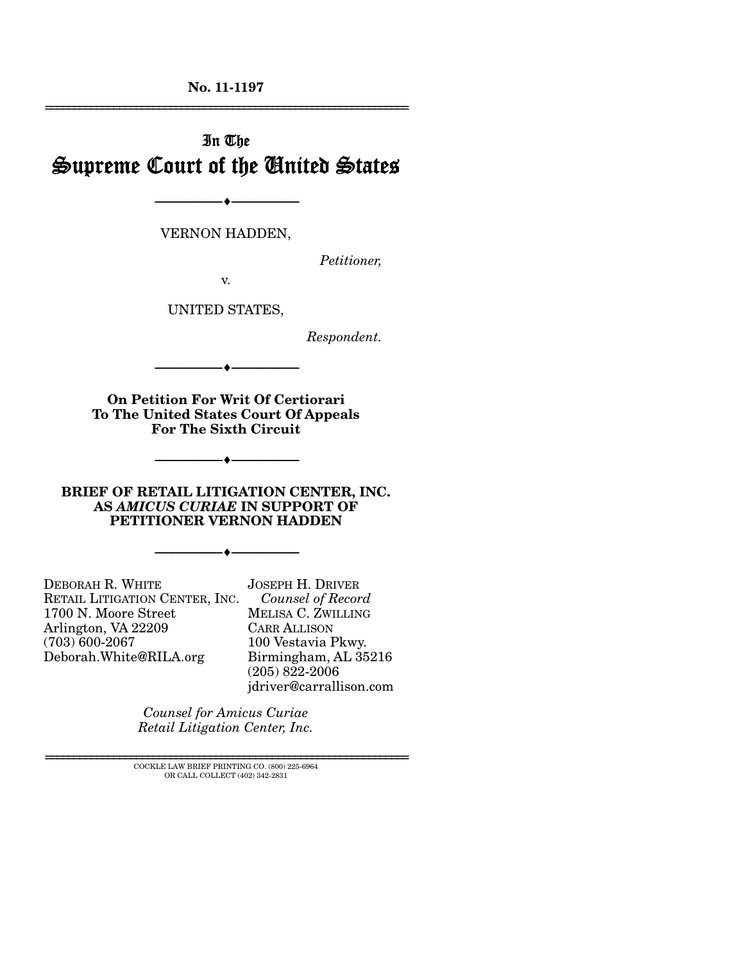**No. 11-1197**  ================================================================

# In The Supreme Court of the United States

VERNON HADDEN,

 $\rightarrow$ 

*Petitioner,* 

v.

UNITED STATES,

*Respondent.* 

**On Petition For Writ Of Certiorari To The United States Court Of Appeals For The Sixth Circuit** 

--------------------------------- ---------------------------------

--------------------------------- ---------------------------------

**BRIEF OF RETAIL LITIGATION CENTER, INC. AS** *AMICUS CURIAE* **IN SUPPORT OF PETITIONER VERNON HADDEN** 

--------------------------------- ---------------------------------

DEBORAH R. WHITE RETAIL LITIGATION CENTER, INC. 1700 N. Moore Street Arlington, VA 22209 (703) 600-2067 Deborah.White@RILA.org

JOSEPH H. DRIVER  *Counsel of Record* MELISA C. ZWILLING CARR ALLISON 100 Vestavia Pkwy. Birmingham, AL 35216 (205) 822-2006 jdriver@carrallison.com

*Counsel for Amicus Curiae Retail Litigation Center, Inc.* 

 $\rm COCKLE$  LAW BRIEF PRINTING CO.  $(800)$  225-6964 OR CALL COLLECT (402) 342-2831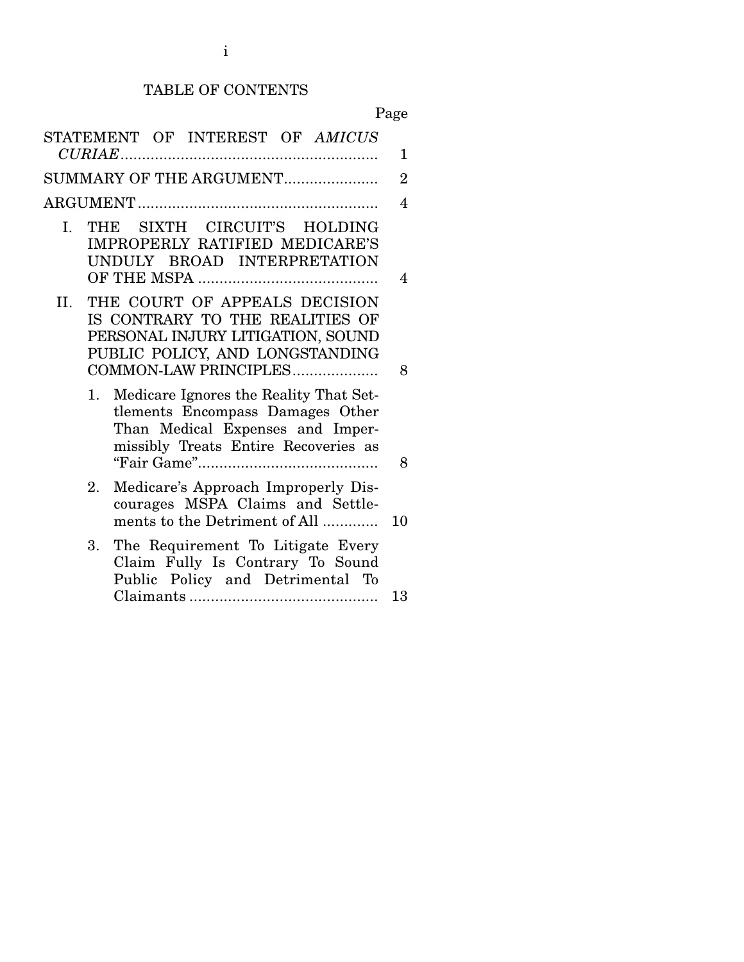# TABLE OF CONTENTS

Page

| STATEMENT OF INTEREST OF AMICUS<br>1<br>SUMMARY OF THE ARGUMENT<br>$\overline{2}$<br>4<br>SIXTH CIRCUIT'S HOLDING<br>I.<br>THE<br>IMPROPERLY RATIFIED MEDICARE'S<br>UNDULY BROAD INTERPRETATION<br>4<br>THE COURT OF APPEALS DECISION<br>Н.<br>IS CONTRARY TO THE REALITIES OF<br>PERSONAL INJURY LITIGATION, SOUND<br>PUBLIC POLICY, AND LONGSTANDING<br>COMMON-LAW PRINCIPLES<br>8<br>Medicare Ignores the Reality That Set-<br>1.<br>tlements Encompass Damages Other<br>Than Medical Expenses and Imper-<br>missibly Treats Entire Recoveries as<br>8<br>Medicare's Approach Improperly Dis-<br>2.<br>courages MSPA Claims and Settle-<br>ments to the Detriment of All<br>10<br>The Requirement To Litigate Every<br>3.<br>Claim Fully Is Contrary To Sound<br>Public Policy and Detrimental To<br>13 |  |  |  |  |  |
|------------------------------------------------------------------------------------------------------------------------------------------------------------------------------------------------------------------------------------------------------------------------------------------------------------------------------------------------------------------------------------------------------------------------------------------------------------------------------------------------------------------------------------------------------------------------------------------------------------------------------------------------------------------------------------------------------------------------------------------------------------------------------------------------------------|--|--|--|--|--|
|                                                                                                                                                                                                                                                                                                                                                                                                                                                                                                                                                                                                                                                                                                                                                                                                            |  |  |  |  |  |
|                                                                                                                                                                                                                                                                                                                                                                                                                                                                                                                                                                                                                                                                                                                                                                                                            |  |  |  |  |  |
|                                                                                                                                                                                                                                                                                                                                                                                                                                                                                                                                                                                                                                                                                                                                                                                                            |  |  |  |  |  |
|                                                                                                                                                                                                                                                                                                                                                                                                                                                                                                                                                                                                                                                                                                                                                                                                            |  |  |  |  |  |
|                                                                                                                                                                                                                                                                                                                                                                                                                                                                                                                                                                                                                                                                                                                                                                                                            |  |  |  |  |  |
|                                                                                                                                                                                                                                                                                                                                                                                                                                                                                                                                                                                                                                                                                                                                                                                                            |  |  |  |  |  |
|                                                                                                                                                                                                                                                                                                                                                                                                                                                                                                                                                                                                                                                                                                                                                                                                            |  |  |  |  |  |
|                                                                                                                                                                                                                                                                                                                                                                                                                                                                                                                                                                                                                                                                                                                                                                                                            |  |  |  |  |  |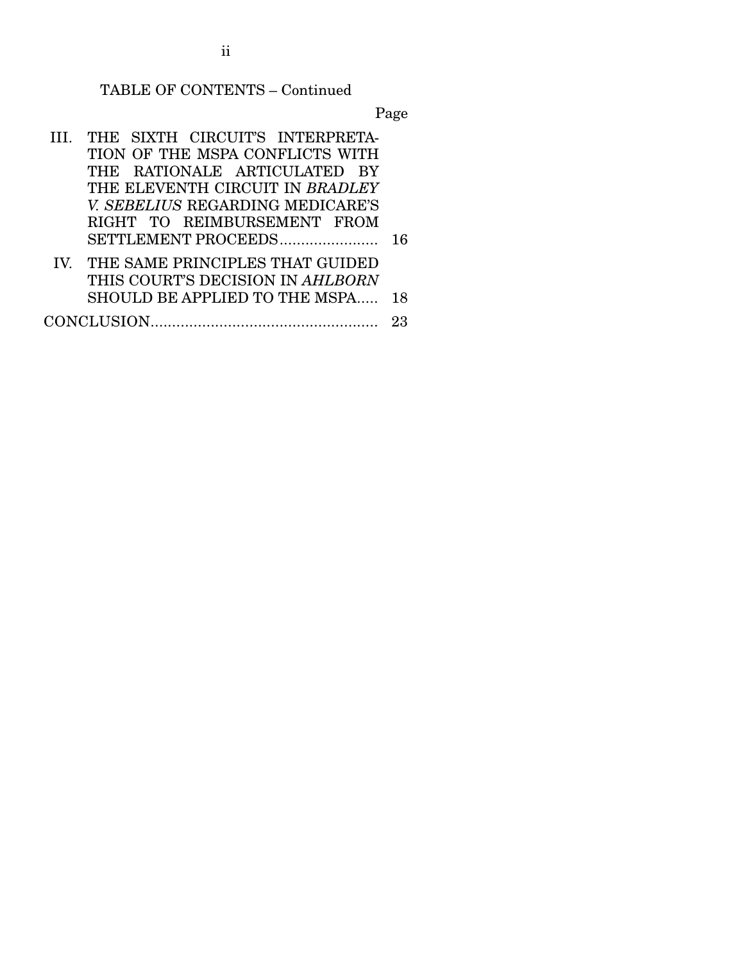# TABLE OF CONTENTS – Continued

Page

|  | THE SIXTH CIRCUIT'S INTERPRETA-     |    |  |  |
|--|-------------------------------------|----|--|--|
|  | TION OF THE MSPA CONFLICTS WITH     |    |  |  |
|  | THE RATIONALE ARTICULATED BY        |    |  |  |
|  | THE ELEVENTH CIRCUIT IN BRADLEY     |    |  |  |
|  | V. SEBELIUS REGARDING MEDICARE'S    |    |  |  |
|  | RIGHT TO REIMBURSEMENT FROM         |    |  |  |
|  | SETTLEMENT PROCEEDS                 | 16 |  |  |
|  | IV. THE SAME PRINCIPLES THAT GUIDED |    |  |  |
|  | THIS COURT'S DECISION IN AHLBORN    |    |  |  |
|  | SHOULD BE APPLIED TO THE MSPA       | 18 |  |  |
|  |                                     |    |  |  |

ii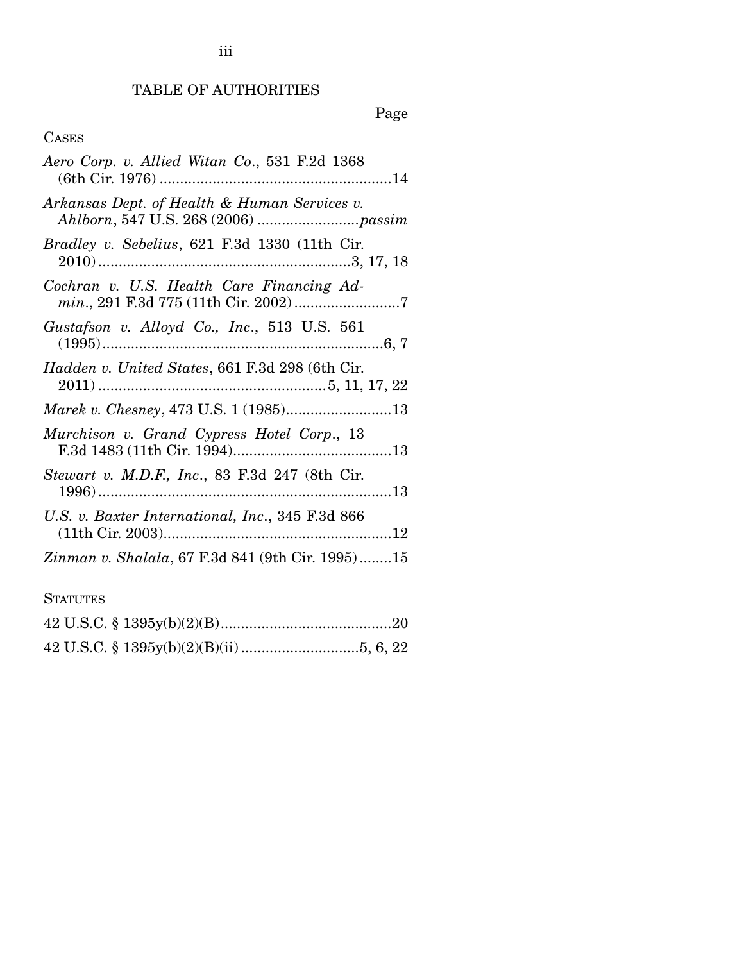## TABLE OF AUTHORITIES

# Page

## CASES

| Aero Corp. v. Allied Witan Co., 531 F.2d 1368          |
|--------------------------------------------------------|
| Arkansas Dept. of Health & Human Services v.           |
| <i>Bradley v. Sebelius</i> , 621 F.3d 1330 (11th Cir.  |
| Cochran v. U.S. Health Care Financing Ad-              |
| Gustafson v. Alloyd Co., Inc., 513 U.S. 561            |
| Hadden v. United States, 661 F.3d 298 (6th Cir.        |
| Marek v. Chesney, 473 U.S. 1 (1985)13                  |
| Murchison v. Grand Cypress Hotel Corp., 13             |
| <i>Stewart v. M.D.F., Inc.</i> , 83 F.3d 247 (8th Cir. |
| U.S. v. Baxter International, Inc., 345 F.3d 866       |
| Zinman v. Shalala, 67 F.3d 841 (9th Cir. 1995)15       |

## **STATUTES**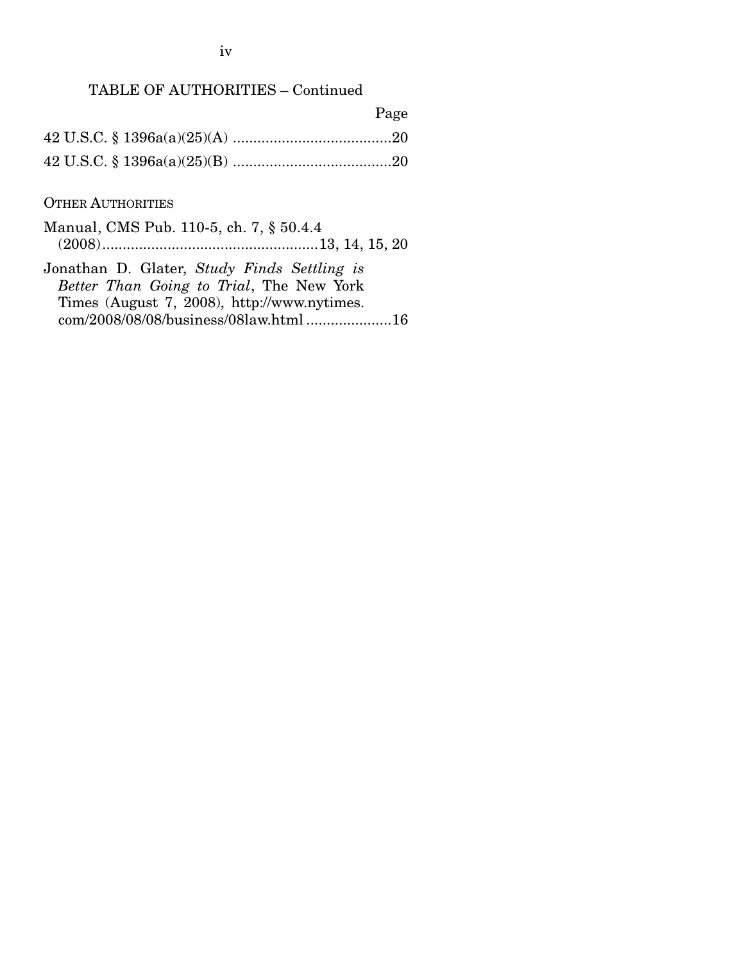iv

## TABLE OF AUTHORITIES – Continued

| Page |
|------|
|      |
|      |

### OTHER AUTHORITIES

Manual, CMS Pub. 110-5, ch. 7, § 50.4.4 (2008) ..................................................... 13, 14, 15, 20 Jonathan D. Glater, *Study Finds Settling is* 

*Better Than Going to Trial*, The New York Times (August 7, 2008), http://www.nytimes. com/2008/08/08/business/08law.html ..................... 16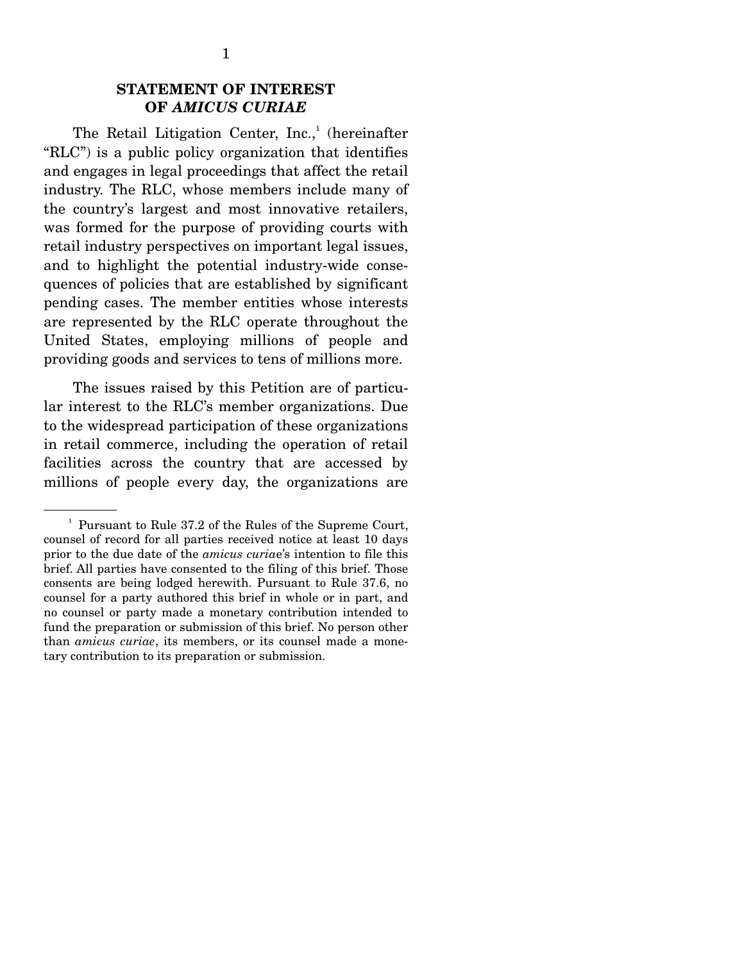## **STATEMENT OF INTEREST OF** *AMICUS CURIAE*

The Retail Litigation Center,  $Inc., ' (hereinafter)$ "RLC") is a public policy organization that identifies and engages in legal proceedings that affect the retail industry. The RLC, whose members include many of the country's largest and most innovative retailers, was formed for the purpose of providing courts with retail industry perspectives on important legal issues, and to highlight the potential industry-wide consequences of policies that are established by significant pending cases. The member entities whose interests are represented by the RLC operate throughout the United States, employing millions of people and providing goods and services to tens of millions more.

 The issues raised by this Petition are of particular interest to the RLC's member organizations. Due to the widespread participation of these organizations in retail commerce, including the operation of retail facilities across the country that are accessed by millions of people every day, the organizations are

<sup>&</sup>lt;sup>1</sup> Pursuant to Rule 37.2 of the Rules of the Supreme Court, counsel of record for all parties received notice at least 10 days prior to the due date of the *amicus curia*e's intention to file this brief. All parties have consented to the filing of this brief. Those consents are being lodged herewith. Pursuant to Rule 37.6, no counsel for a party authored this brief in whole or in part, and no counsel or party made a monetary contribution intended to fund the preparation or submission of this brief. No person other than *amicus curiae*, its members, or its counsel made a monetary contribution to its preparation or submission.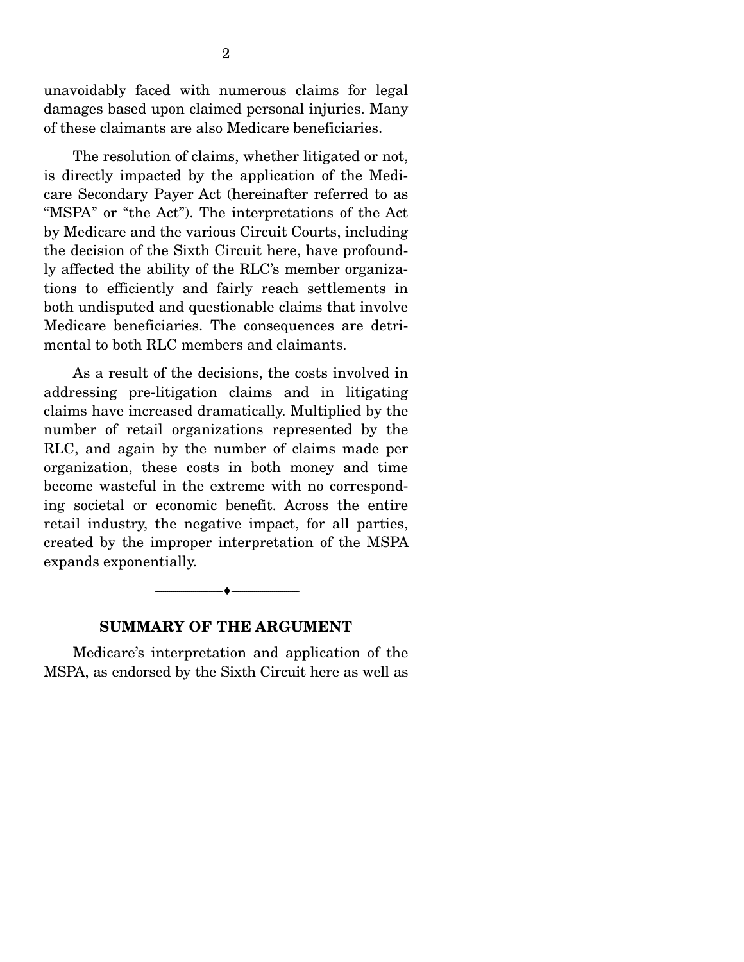unavoidably faced with numerous claims for legal damages based upon claimed personal injuries. Many of these claimants are also Medicare beneficiaries.

 The resolution of claims, whether litigated or not, is directly impacted by the application of the Medicare Secondary Payer Act (hereinafter referred to as "MSPA" or "the Act"). The interpretations of the Act by Medicare and the various Circuit Courts, including the decision of the Sixth Circuit here, have profoundly affected the ability of the RLC's member organizations to efficiently and fairly reach settlements in both undisputed and questionable claims that involve Medicare beneficiaries. The consequences are detrimental to both RLC members and claimants.

 As a result of the decisions, the costs involved in addressing pre-litigation claims and in litigating claims have increased dramatically. Multiplied by the number of retail organizations represented by the RLC, and again by the number of claims made per organization, these costs in both money and time become wasteful in the extreme with no corresponding societal or economic benefit. Across the entire retail industry, the negative impact, for all parties, created by the improper interpretation of the MSPA expands exponentially.

#### --------------------------------- ---------------------------------

### **SUMMARY OF THE ARGUMENT**

 Medicare's interpretation and application of the MSPA, as endorsed by the Sixth Circuit here as well as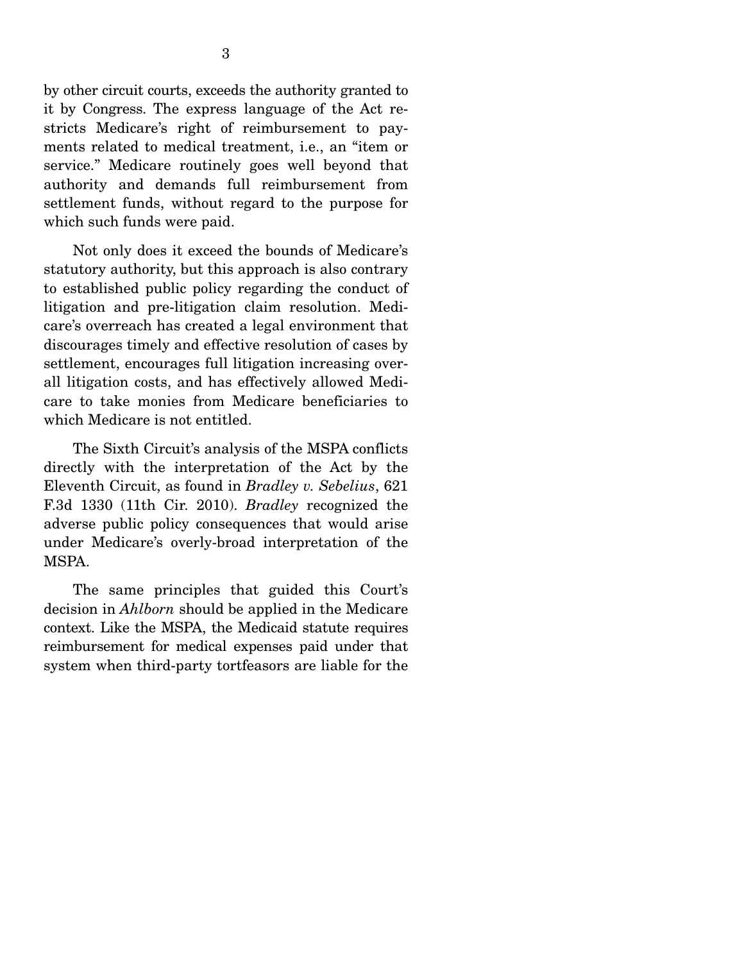by other circuit courts, exceeds the authority granted to it by Congress. The express language of the Act restricts Medicare's right of reimbursement to payments related to medical treatment, i.e., an "item or service." Medicare routinely goes well beyond that authority and demands full reimbursement from settlement funds, without regard to the purpose for which such funds were paid.

 Not only does it exceed the bounds of Medicare's statutory authority, but this approach is also contrary to established public policy regarding the conduct of litigation and pre-litigation claim resolution. Medicare's overreach has created a legal environment that discourages timely and effective resolution of cases by settlement, encourages full litigation increasing overall litigation costs, and has effectively allowed Medicare to take monies from Medicare beneficiaries to which Medicare is not entitled.

 The Sixth Circuit's analysis of the MSPA conflicts directly with the interpretation of the Act by the Eleventh Circuit, as found in *Bradley v. Sebelius*, 621 F.3d 1330 (11th Cir. 2010). *Bradley* recognized the adverse public policy consequences that would arise under Medicare's overly-broad interpretation of the MSPA.

 The same principles that guided this Court's decision in *Ahlborn* should be applied in the Medicare context. Like the MSPA, the Medicaid statute requires reimbursement for medical expenses paid under that system when third-party tortfeasors are liable for the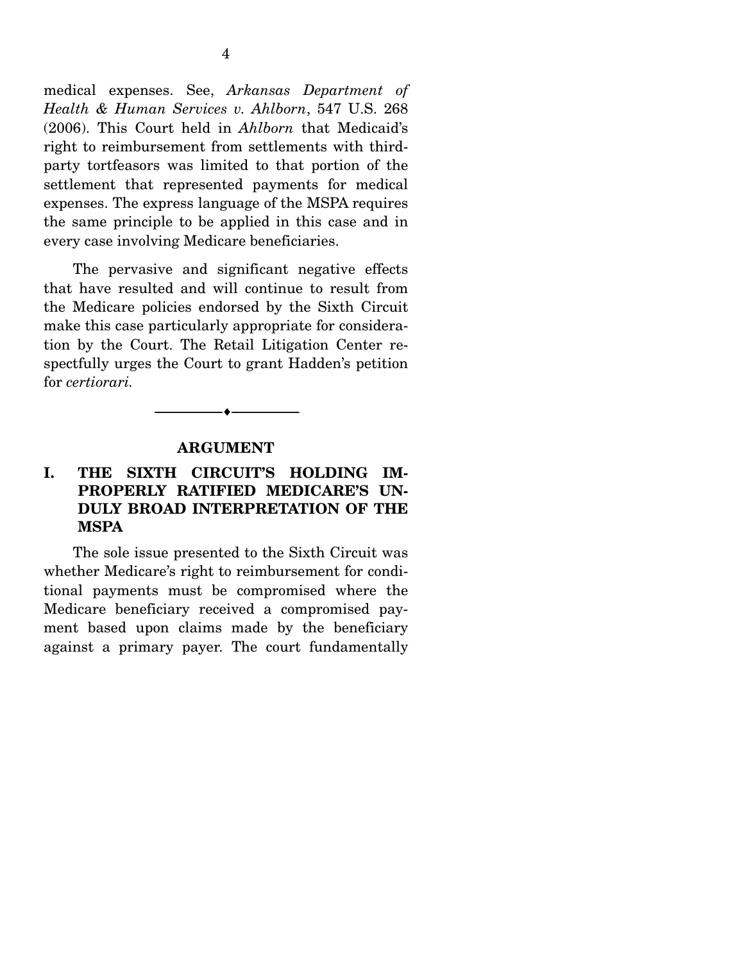medical expenses. See, *Arkansas Department of Health & Human Services v. Ahlborn*, 547 U.S. 268 (2006). This Court held in *Ahlborn* that Medicaid's right to reimbursement from settlements with thirdparty tortfeasors was limited to that portion of the settlement that represented payments for medical expenses. The express language of the MSPA requires the same principle to be applied in this case and in every case involving Medicare beneficiaries.

 The pervasive and significant negative effects that have resulted and will continue to result from the Medicare policies endorsed by the Sixth Circuit make this case particularly appropriate for consideration by the Court. The Retail Litigation Center respectfully urges the Court to grant Hadden's petition for *certiorari.* 

#### **ARGUMENT**

--------------------------------- ---------------------------------

## **I. THE SIXTH CIRCUIT'S HOLDING IM-PROPERLY RATIFIED MEDICARE'S UN-DULY BROAD INTERPRETATION OF THE MSPA**

 The sole issue presented to the Sixth Circuit was whether Medicare's right to reimbursement for conditional payments must be compromised where the Medicare beneficiary received a compromised payment based upon claims made by the beneficiary against a primary payer. The court fundamentally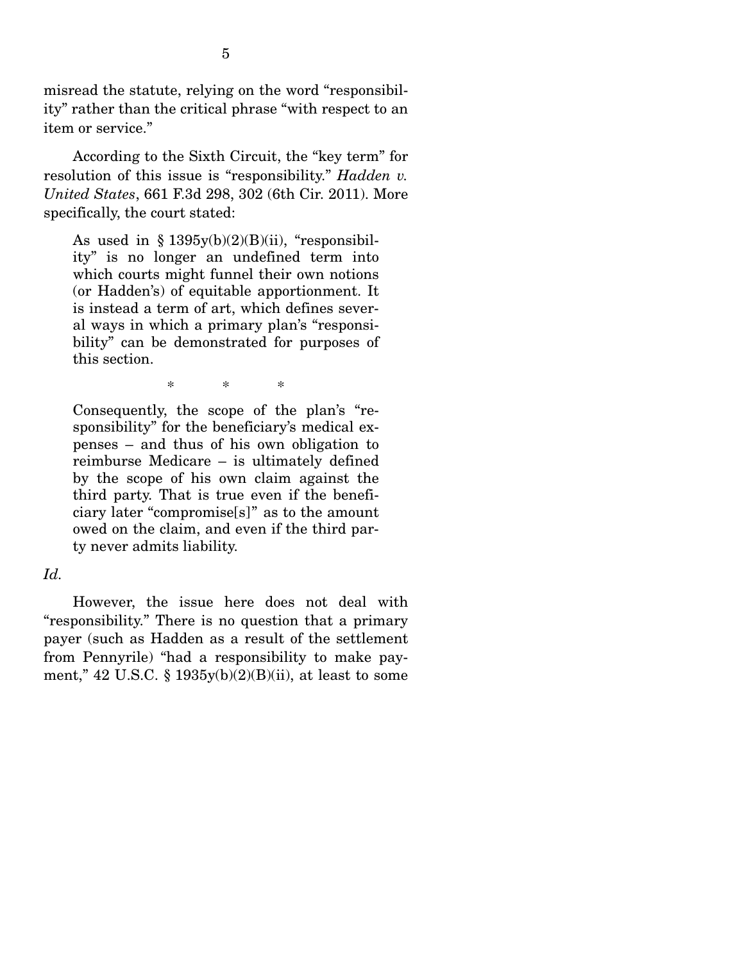misread the statute, relying on the word "responsibility" rather than the critical phrase "with respect to an item or service."

 According to the Sixth Circuit, the "key term" for resolution of this issue is "responsibility." *Hadden v. United States*, 661 F.3d 298, 302 (6th Cir. 2011). More specifically, the court stated:

As used in  $\S 1395y(b)(2)(B)(ii)$ , "responsibility" is no longer an undefined term into which courts might funnel their own notions (or Hadden's) of equitable apportionment. It is instead a term of art, which defines several ways in which a primary plan's "responsibility" can be demonstrated for purposes of this section.

\* \* \*

Consequently, the scope of the plan's "responsibility" for the beneficiary's medical expenses – and thus of his own obligation to reimburse Medicare – is ultimately defined by the scope of his own claim against the third party. That is true even if the beneficiary later "compromise[s]" as to the amount owed on the claim, and even if the third party never admits liability.

#### *Id.*

However, the issue here does not deal with "responsibility." There is no question that a primary payer (such as Hadden as a result of the settlement from Pennyrile) "had a responsibility to make payment," 42 U.S.C. § 1935y(b)(2)(B)(ii), at least to some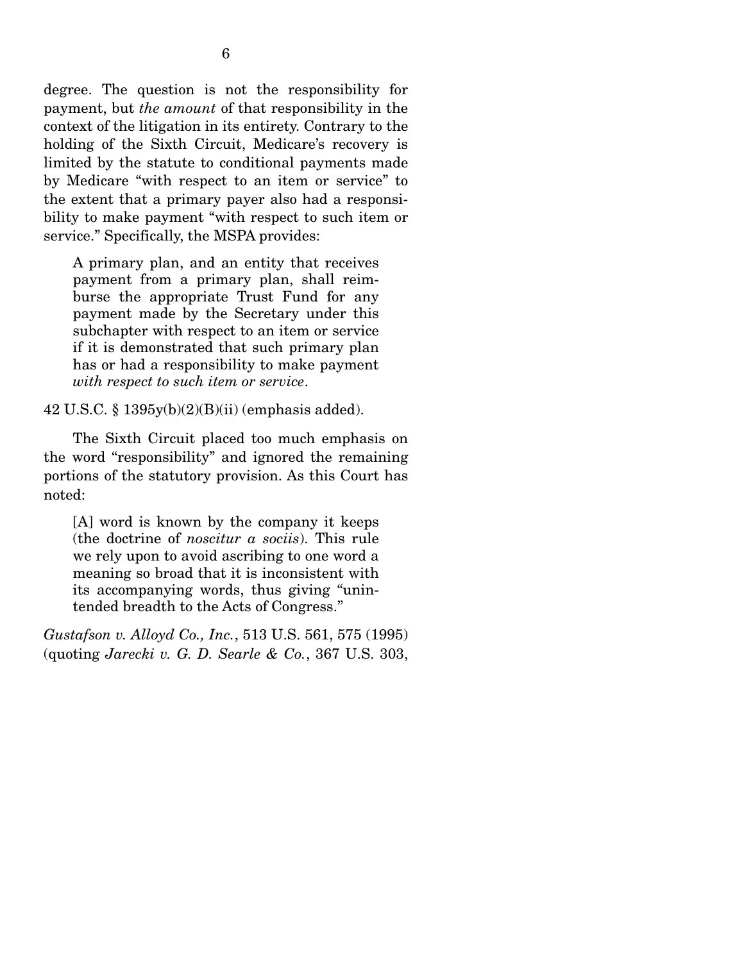degree. The question is not the responsibility for payment, but *the amount* of that responsibility in the context of the litigation in its entirety. Contrary to the holding of the Sixth Circuit, Medicare's recovery is limited by the statute to conditional payments made by Medicare "with respect to an item or service" to the extent that a primary payer also had a responsibility to make payment "with respect to such item or service." Specifically, the MSPA provides:

A primary plan, and an entity that receives payment from a primary plan, shall reimburse the appropriate Trust Fund for any payment made by the Secretary under this subchapter with respect to an item or service if it is demonstrated that such primary plan has or had a responsibility to make payment *with respect to such item or service*.

42 U.S.C. § 1395y(b)(2)(B)(ii) (emphasis added).

 The Sixth Circuit placed too much emphasis on the word "responsibility" and ignored the remaining portions of the statutory provision. As this Court has noted:

[A] word is known by the company it keeps (the doctrine of *noscitur a sociis*). This rule we rely upon to avoid ascribing to one word a meaning so broad that it is inconsistent with its accompanying words, thus giving "unintended breadth to the Acts of Congress."

*Gustafson v. Alloyd Co., Inc.*, 513 U.S. 561, 575 (1995) (quoting *Jarecki v. G. D. Searle & Co.*, 367 U.S. 303,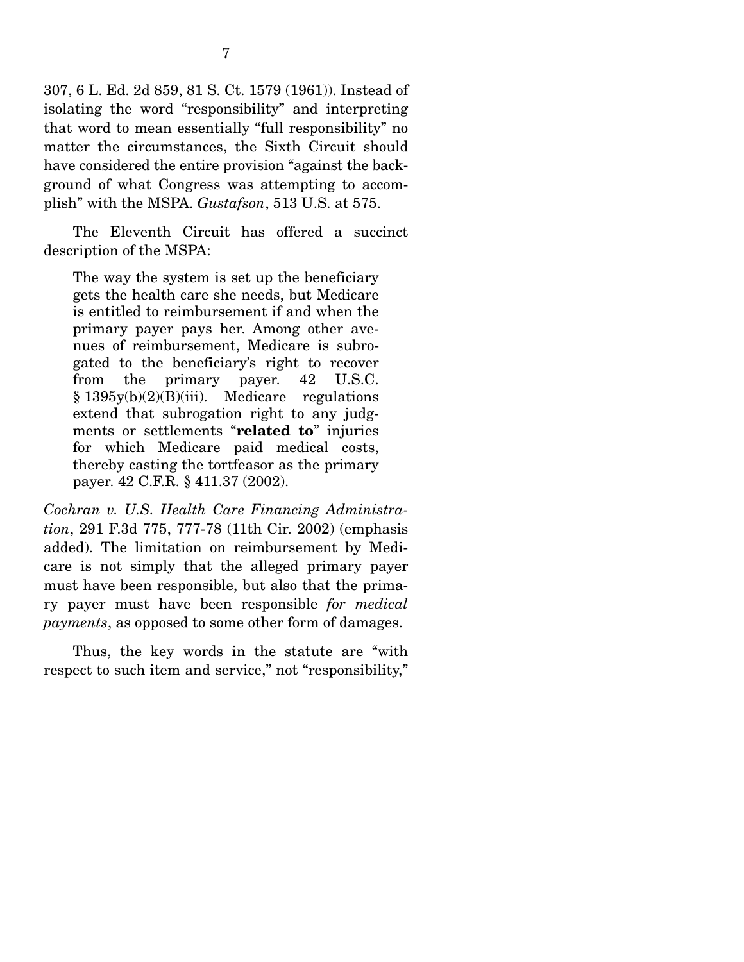307, 6 L. Ed. 2d 859, 81 S. Ct. 1579 (1961)). Instead of isolating the word "responsibility" and interpreting that word to mean essentially "full responsibility" no matter the circumstances, the Sixth Circuit should have considered the entire provision "against the background of what Congress was attempting to accomplish" with the MSPA. *Gustafson*, 513 U.S. at 575.

 The Eleventh Circuit has offered a succinct description of the MSPA:

The way the system is set up the beneficiary gets the health care she needs, but Medicare is entitled to reimbursement if and when the primary payer pays her. Among other avenues of reimbursement, Medicare is subrogated to the beneficiary's right to recover from the primary payer. 42 U.S.C. § 1395y(b)(2)(B)(iii). Medicare regulations extend that subrogation right to any judgments or settlements "**related to**" injuries for which Medicare paid medical costs, thereby casting the tortfeasor as the primary payer. 42 C.F.R. § 411.37 (2002).

*Cochran v. U.S. Health Care Financing Administration*, 291 F.3d 775, 777-78 (11th Cir. 2002) (emphasis added). The limitation on reimbursement by Medicare is not simply that the alleged primary payer must have been responsible, but also that the primary payer must have been responsible *for medical payments*, as opposed to some other form of damages.

 Thus, the key words in the statute are "with respect to such item and service," not "responsibility,"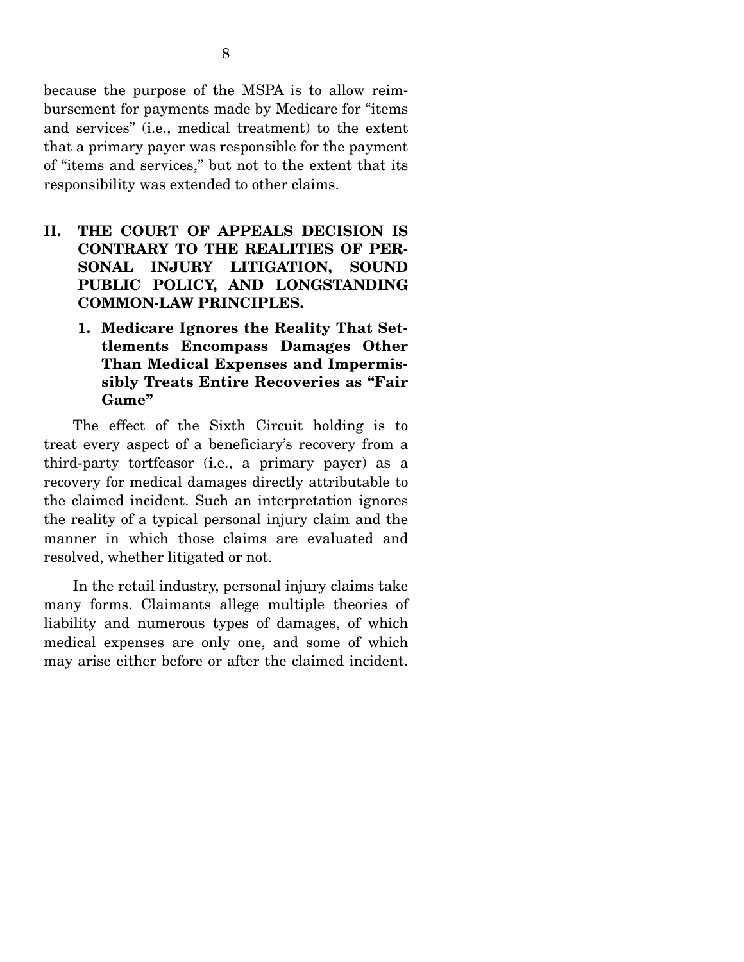because the purpose of the MSPA is to allow reimbursement for payments made by Medicare for "items and services" (i.e., medical treatment) to the extent that a primary payer was responsible for the payment of "items and services," but not to the extent that its responsibility was extended to other claims.

- **II. THE COURT OF APPEALS DECISION IS CONTRARY TO THE REALITIES OF PER-SONAL INJURY LITIGATION, SOUND PUBLIC POLICY, AND LONGSTANDING COMMON-LAW PRINCIPLES.** 
	- **1. Medicare Ignores the Reality That Settlements Encompass Damages Other Than Medical Expenses and Impermissibly Treats Entire Recoveries as "Fair Game"**

 The effect of the Sixth Circuit holding is to treat every aspect of a beneficiary's recovery from a third-party tortfeasor (i.e., a primary payer) as a recovery for medical damages directly attributable to the claimed incident. Such an interpretation ignores the reality of a typical personal injury claim and the manner in which those claims are evaluated and resolved, whether litigated or not.

 In the retail industry, personal injury claims take many forms. Claimants allege multiple theories of liability and numerous types of damages, of which medical expenses are only one, and some of which may arise either before or after the claimed incident.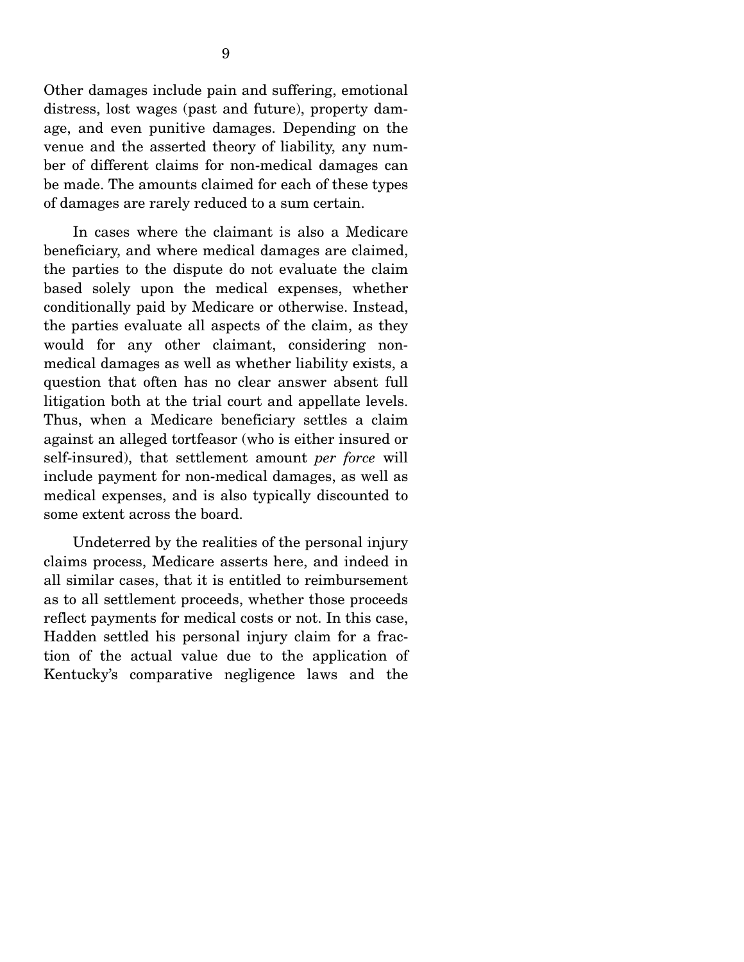Other damages include pain and suffering, emotional distress, lost wages (past and future), property damage, and even punitive damages. Depending on the venue and the asserted theory of liability, any number of different claims for non-medical damages can be made. The amounts claimed for each of these types of damages are rarely reduced to a sum certain.

 In cases where the claimant is also a Medicare beneficiary, and where medical damages are claimed, the parties to the dispute do not evaluate the claim based solely upon the medical expenses, whether conditionally paid by Medicare or otherwise. Instead, the parties evaluate all aspects of the claim, as they would for any other claimant, considering nonmedical damages as well as whether liability exists, a question that often has no clear answer absent full litigation both at the trial court and appellate levels. Thus, when a Medicare beneficiary settles a claim against an alleged tortfeasor (who is either insured or self-insured), that settlement amount *per force* will include payment for non-medical damages, as well as medical expenses, and is also typically discounted to some extent across the board.

 Undeterred by the realities of the personal injury claims process, Medicare asserts here, and indeed in all similar cases, that it is entitled to reimbursement as to all settlement proceeds, whether those proceeds reflect payments for medical costs or not. In this case, Hadden settled his personal injury claim for a fraction of the actual value due to the application of Kentucky's comparative negligence laws and the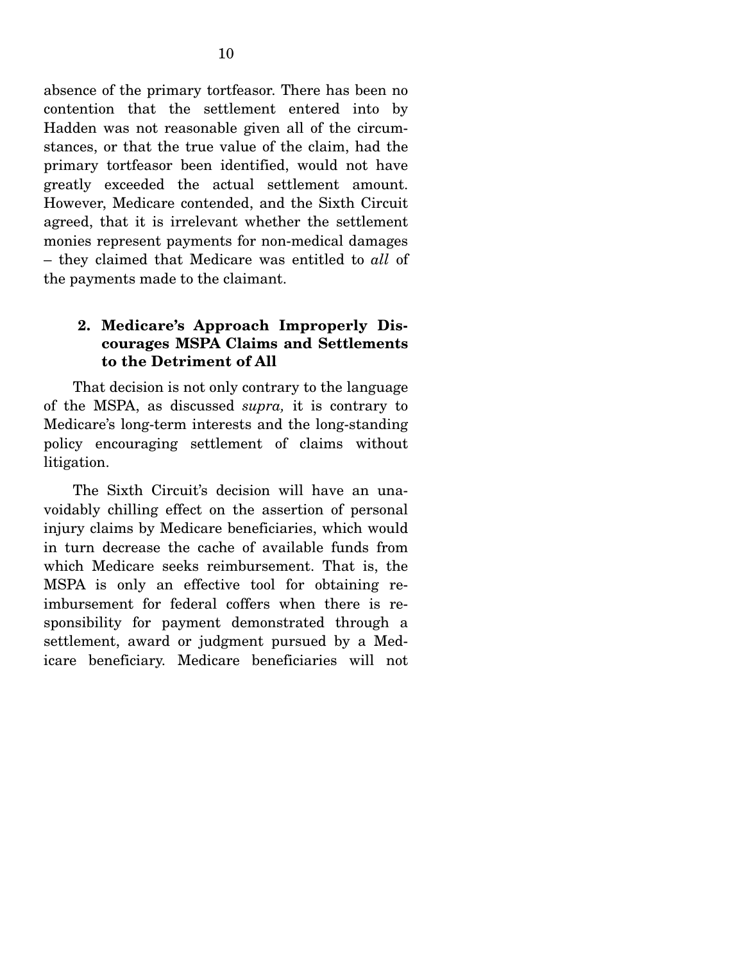absence of the primary tortfeasor. There has been no contention that the settlement entered into by Hadden was not reasonable given all of the circumstances, or that the true value of the claim, had the primary tortfeasor been identified, would not have greatly exceeded the actual settlement amount. However, Medicare contended, and the Sixth Circuit agreed, that it is irrelevant whether the settlement monies represent payments for non-medical damages – they claimed that Medicare was entitled to *all* of the payments made to the claimant.

## **2. Medicare's Approach Improperly Discourages MSPA Claims and Settlements to the Detriment of All**

 That decision is not only contrary to the language of the MSPA, as discussed *supra,* it is contrary to Medicare's long-term interests and the long-standing policy encouraging settlement of claims without litigation.

 The Sixth Circuit's decision will have an unavoidably chilling effect on the assertion of personal injury claims by Medicare beneficiaries, which would in turn decrease the cache of available funds from which Medicare seeks reimbursement. That is, the MSPA is only an effective tool for obtaining reimbursement for federal coffers when there is responsibility for payment demonstrated through a settlement, award or judgment pursued by a Medicare beneficiary. Medicare beneficiaries will not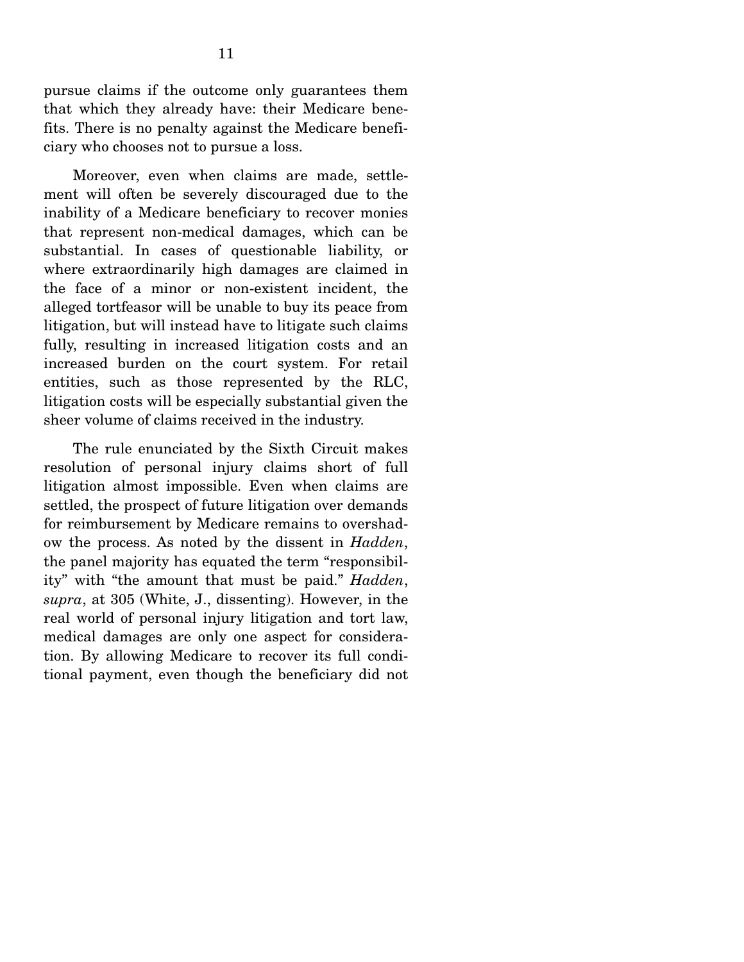pursue claims if the outcome only guarantees them that which they already have: their Medicare benefits. There is no penalty against the Medicare beneficiary who chooses not to pursue a loss.

 Moreover, even when claims are made, settlement will often be severely discouraged due to the inability of a Medicare beneficiary to recover monies that represent non-medical damages, which can be substantial. In cases of questionable liability, or where extraordinarily high damages are claimed in the face of a minor or non-existent incident, the alleged tortfeasor will be unable to buy its peace from litigation, but will instead have to litigate such claims fully, resulting in increased litigation costs and an increased burden on the court system. For retail entities, such as those represented by the RLC, litigation costs will be especially substantial given the sheer volume of claims received in the industry.

 The rule enunciated by the Sixth Circuit makes resolution of personal injury claims short of full litigation almost impossible. Even when claims are settled, the prospect of future litigation over demands for reimbursement by Medicare remains to overshadow the process. As noted by the dissent in *Hadden*, the panel majority has equated the term "responsibility" with "the amount that must be paid." *Hadden*, *supra*, at 305 (White, J., dissenting). However, in the real world of personal injury litigation and tort law, medical damages are only one aspect for consideration. By allowing Medicare to recover its full conditional payment, even though the beneficiary did not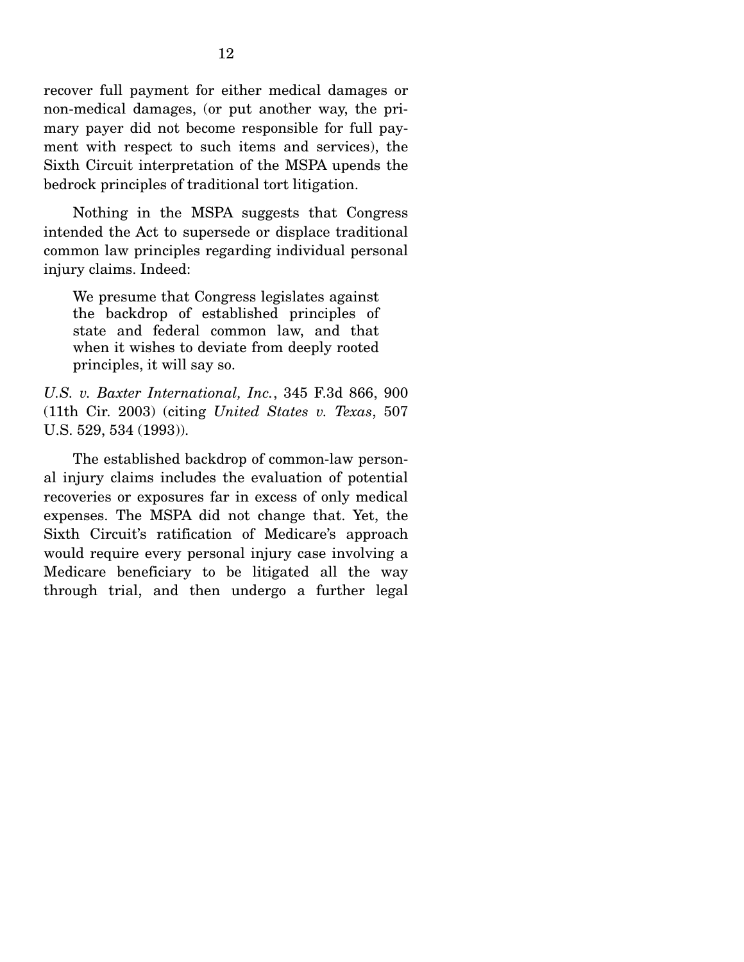recover full payment for either medical damages or non-medical damages, (or put another way, the primary payer did not become responsible for full payment with respect to such items and services), the Sixth Circuit interpretation of the MSPA upends the bedrock principles of traditional tort litigation.

 Nothing in the MSPA suggests that Congress intended the Act to supersede or displace traditional common law principles regarding individual personal injury claims. Indeed:

We presume that Congress legislates against the backdrop of established principles of state and federal common law, and that when it wishes to deviate from deeply rooted principles, it will say so.

*U.S. v. Baxter International, Inc.*, 345 F.3d 866, 900 (11th Cir. 2003) (citing *United States v. Texas*, 507 U.S. 529, 534 (1993)).

 The established backdrop of common-law personal injury claims includes the evaluation of potential recoveries or exposures far in excess of only medical expenses. The MSPA did not change that. Yet, the Sixth Circuit's ratification of Medicare's approach would require every personal injury case involving a Medicare beneficiary to be litigated all the way through trial, and then undergo a further legal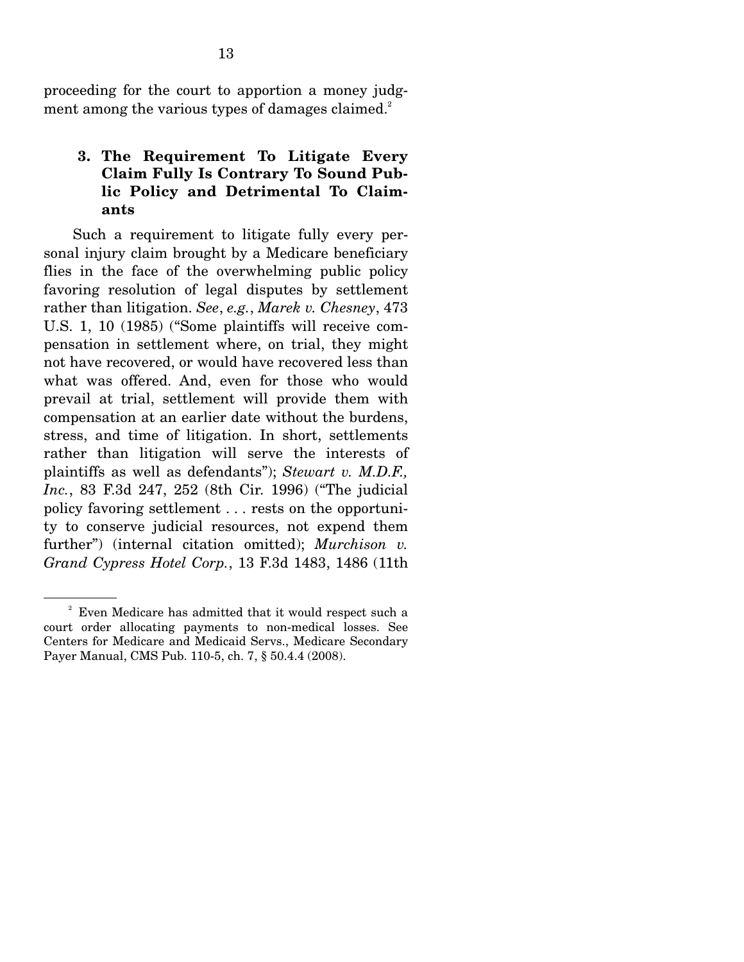proceeding for the court to apportion a money judgment among the various types of damages claimed.<sup>2</sup>

## **3. The Requirement To Litigate Every Claim Fully Is Contrary To Sound Public Policy and Detrimental To Claimants**

 Such a requirement to litigate fully every personal injury claim brought by a Medicare beneficiary flies in the face of the overwhelming public policy favoring resolution of legal disputes by settlement rather than litigation. *See*, *e.g.*, *Marek v. Chesney*, 473 U.S. 1, 10 (1985) ("Some plaintiffs will receive compensation in settlement where, on trial, they might not have recovered, or would have recovered less than what was offered. And, even for those who would prevail at trial, settlement will provide them with compensation at an earlier date without the burdens, stress, and time of litigation. In short, settlements rather than litigation will serve the interests of plaintiffs as well as defendants"); *Stewart v. M.D.F., Inc.*, 83 F.3d 247, 252 (8th Cir. 1996) ("The judicial policy favoring settlement . . . rests on the opportunity to conserve judicial resources, not expend them further") (internal citation omitted); *Murchison v. Grand Cypress Hotel Corp.*, 13 F.3d 1483, 1486 (11th

<sup>&</sup>lt;sup>2</sup> Even Medicare has admitted that it would respect such a court order allocating payments to non-medical losses. See Centers for Medicare and Medicaid Servs., Medicare Secondary Payer Manual, CMS Pub. 110-5, ch. 7, § 50.4.4 (2008).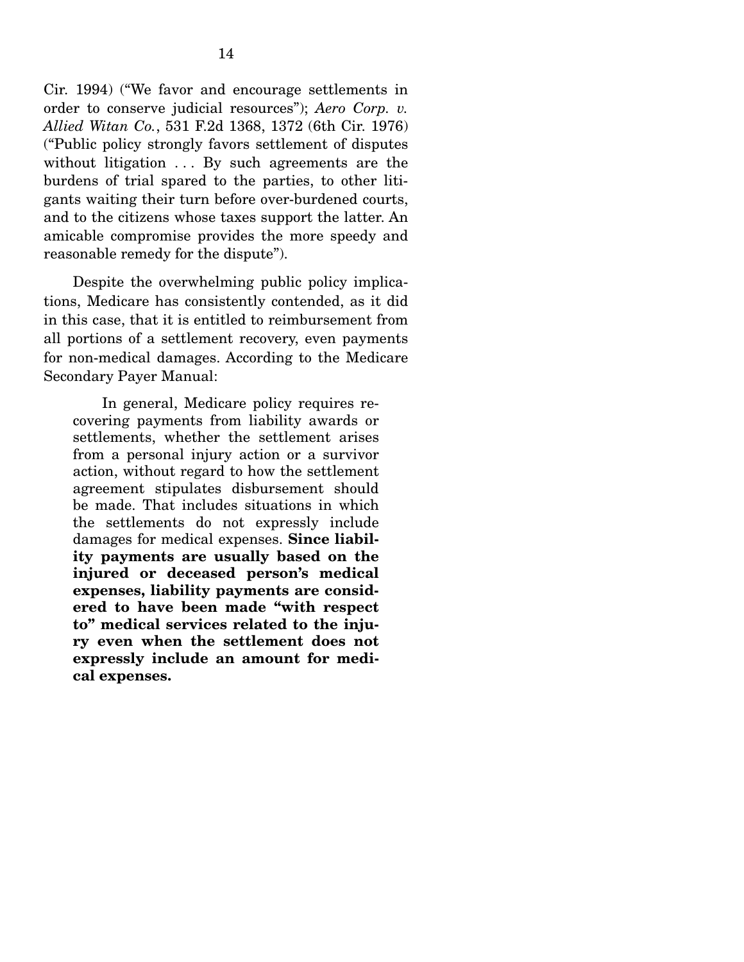Cir. 1994) ("We favor and encourage settlements in order to conserve judicial resources"); *Aero Corp. v. Allied Witan Co.*, 531 F.2d 1368, 1372 (6th Cir. 1976) ("Public policy strongly favors settlement of disputes without litigation . . . By such agreements are the burdens of trial spared to the parties, to other litigants waiting their turn before over-burdened courts, and to the citizens whose taxes support the latter. An amicable compromise provides the more speedy and reasonable remedy for the dispute").

 Despite the overwhelming public policy implications, Medicare has consistently contended, as it did in this case, that it is entitled to reimbursement from all portions of a settlement recovery, even payments for non-medical damages. According to the Medicare Secondary Payer Manual:

 In general, Medicare policy requires recovering payments from liability awards or settlements, whether the settlement arises from a personal injury action or a survivor action, without regard to how the settlement agreement stipulates disbursement should be made. That includes situations in which the settlements do not expressly include damages for medical expenses. **Since liability payments are usually based on the injured or deceased person's medical expenses, liability payments are considered to have been made "with respect to" medical services related to the injury even when the settlement does not expressly include an amount for medical expenses.**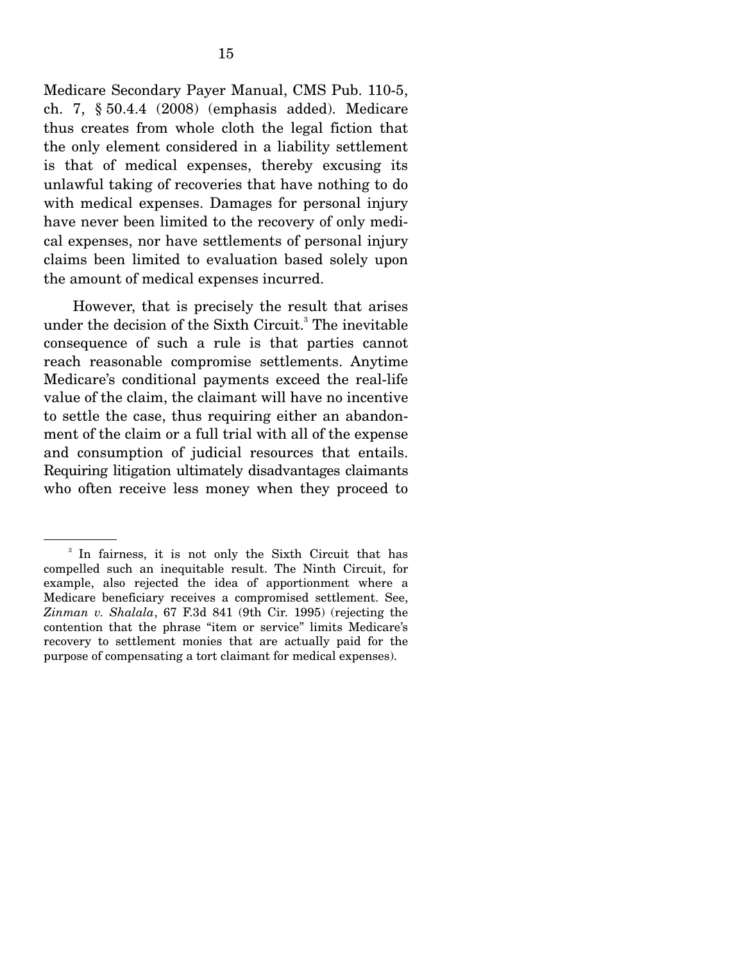Medicare Secondary Payer Manual, CMS Pub. 110-5, ch. 7, § 50.4.4 (2008) (emphasis added). Medicare thus creates from whole cloth the legal fiction that the only element considered in a liability settlement is that of medical expenses, thereby excusing its unlawful taking of recoveries that have nothing to do with medical expenses. Damages for personal injury have never been limited to the recovery of only medical expenses, nor have settlements of personal injury claims been limited to evaluation based solely upon the amount of medical expenses incurred.

 However, that is precisely the result that arises under the decision of the Sixth Circuit.<sup>3</sup> The inevitable consequence of such a rule is that parties cannot reach reasonable compromise settlements. Anytime Medicare's conditional payments exceed the real-life value of the claim, the claimant will have no incentive to settle the case, thus requiring either an abandonment of the claim or a full trial with all of the expense and consumption of judicial resources that entails. Requiring litigation ultimately disadvantages claimants who often receive less money when they proceed to

<sup>3</sup> In fairness, it is not only the Sixth Circuit that has compelled such an inequitable result. The Ninth Circuit, for example, also rejected the idea of apportionment where a Medicare beneficiary receives a compromised settlement. See, *Zinman v. Shalala*, 67 F.3d 841 (9th Cir. 1995) (rejecting the contention that the phrase "item or service" limits Medicare's recovery to settlement monies that are actually paid for the purpose of compensating a tort claimant for medical expenses).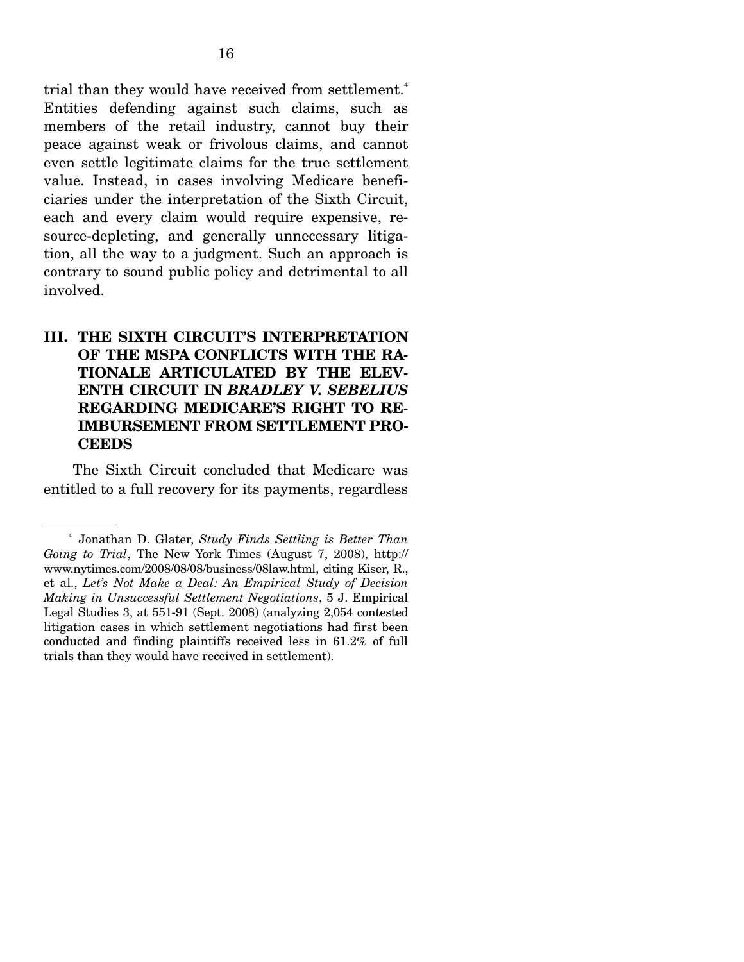trial than they would have received from settlement.<sup>4</sup> Entities defending against such claims, such as members of the retail industry, cannot buy their peace against weak or frivolous claims, and cannot even settle legitimate claims for the true settlement value. Instead, in cases involving Medicare beneficiaries under the interpretation of the Sixth Circuit, each and every claim would require expensive, resource-depleting, and generally unnecessary litigation, all the way to a judgment. Such an approach is contrary to sound public policy and detrimental to all involved.

## **III. THE SIXTH CIRCUIT'S INTERPRETATION OF THE MSPA CONFLICTS WITH THE RA-TIONALE ARTICULATED BY THE ELEV-ENTH CIRCUIT IN** *BRADLEY V. SEBELIUS* **REGARDING MEDICARE'S RIGHT TO RE-IMBURSEMENT FROM SETTLEMENT PRO-CEEDS**

 The Sixth Circuit concluded that Medicare was entitled to a full recovery for its payments, regardless

<sup>4</sup> Jonathan D. Glater, *Study Finds Settling is Better Than Going to Trial*, The New York Times (August 7, 2008), http:// www.nytimes.com/2008/08/08/business/08law.html, citing Kiser, R., et al., *Let's Not Make a Deal: An Empirical Study of Decision Making in Unsuccessful Settlement Negotiations*, 5 J. Empirical Legal Studies 3, at 551-91 (Sept. 2008) (analyzing 2,054 contested litigation cases in which settlement negotiations had first been conducted and finding plaintiffs received less in 61.2% of full trials than they would have received in settlement).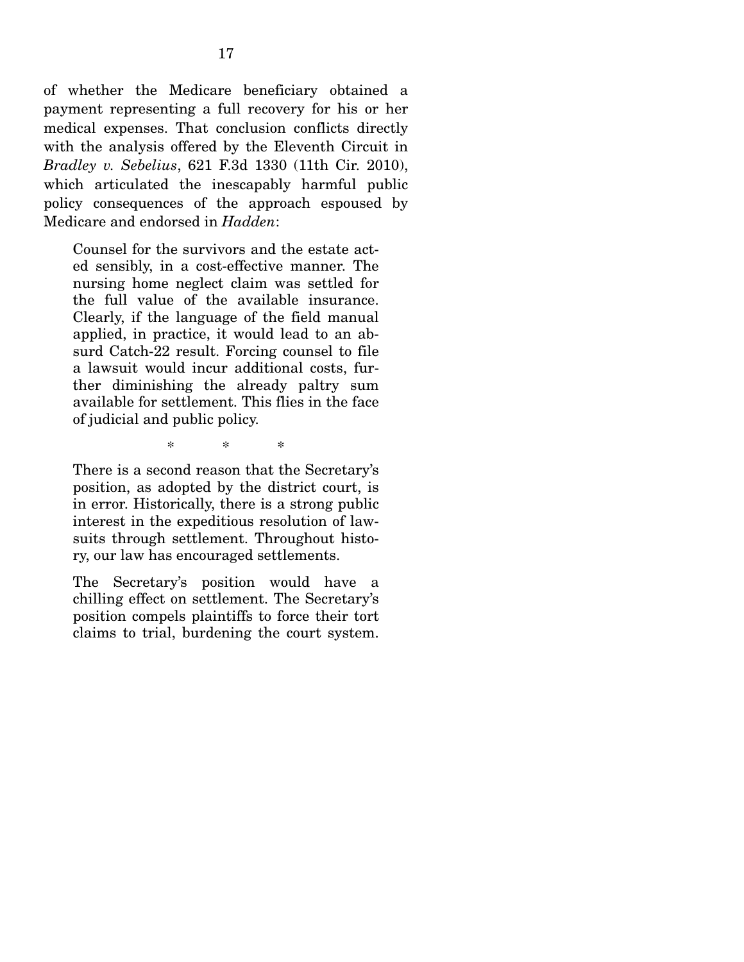of whether the Medicare beneficiary obtained a payment representing a full recovery for his or her medical expenses. That conclusion conflicts directly with the analysis offered by the Eleventh Circuit in *Bradley v. Sebelius*, 621 F.3d 1330 (11th Cir. 2010), which articulated the inescapably harmful public policy consequences of the approach espoused by Medicare and endorsed in *Hadden*:

Counsel for the survivors and the estate acted sensibly, in a cost-effective manner. The nursing home neglect claim was settled for the full value of the available insurance. Clearly, if the language of the field manual applied, in practice, it would lead to an absurd Catch-22 result. Forcing counsel to file a lawsuit would incur additional costs, further diminishing the already paltry sum available for settlement. This flies in the face of judicial and public policy.

\* \* \*

There is a second reason that the Secretary's position, as adopted by the district court, is in error. Historically, there is a strong public interest in the expeditious resolution of lawsuits through settlement. Throughout history, our law has encouraged settlements.

The Secretary's position would have a chilling effect on settlement. The Secretary's position compels plaintiffs to force their tort claims to trial, burdening the court system.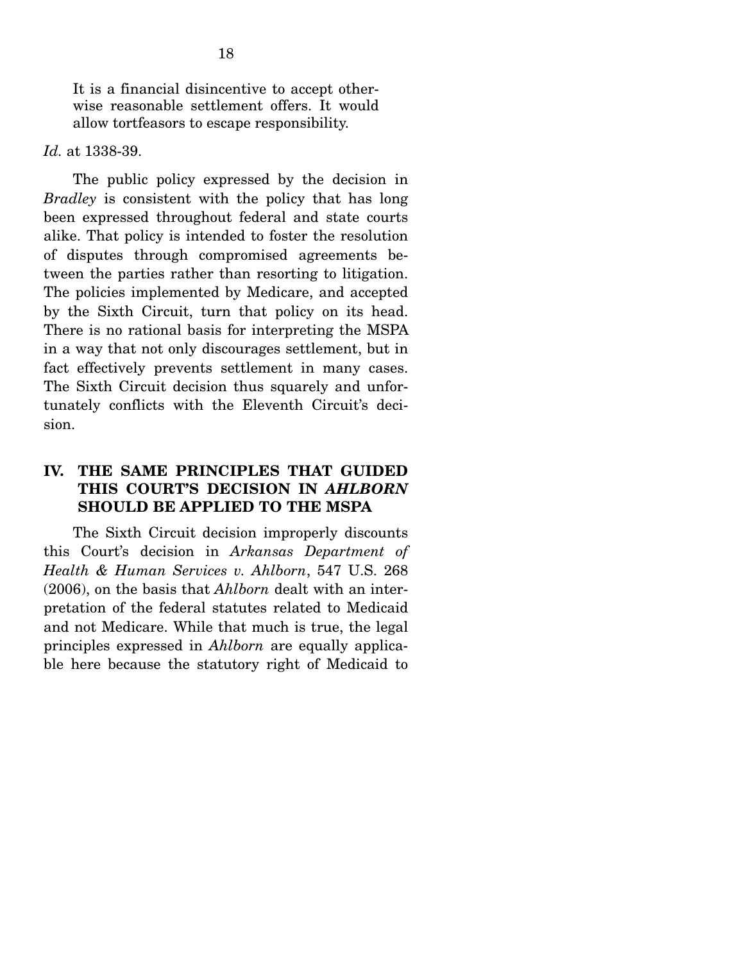It is a financial disincentive to accept otherwise reasonable settlement offers. It would allow tortfeasors to escape responsibility.

#### *Id.* at 1338-39.

 The public policy expressed by the decision in *Bradley* is consistent with the policy that has long been expressed throughout federal and state courts alike. That policy is intended to foster the resolution of disputes through compromised agreements between the parties rather than resorting to litigation. The policies implemented by Medicare, and accepted by the Sixth Circuit, turn that policy on its head. There is no rational basis for interpreting the MSPA in a way that not only discourages settlement, but in fact effectively prevents settlement in many cases. The Sixth Circuit decision thus squarely and unfortunately conflicts with the Eleventh Circuit's decision.

## **IV. THE SAME PRINCIPLES THAT GUIDED THIS COURT'S DECISION IN** *AHLBORN*  **SHOULD BE APPLIED TO THE MSPA**

 The Sixth Circuit decision improperly discounts this Court's decision in *Arkansas Department of Health & Human Services v. Ahlborn*, 547 U.S. 268 (2006), on the basis that *Ahlborn* dealt with an interpretation of the federal statutes related to Medicaid and not Medicare. While that much is true, the legal principles expressed in *Ahlborn* are equally applicable here because the statutory right of Medicaid to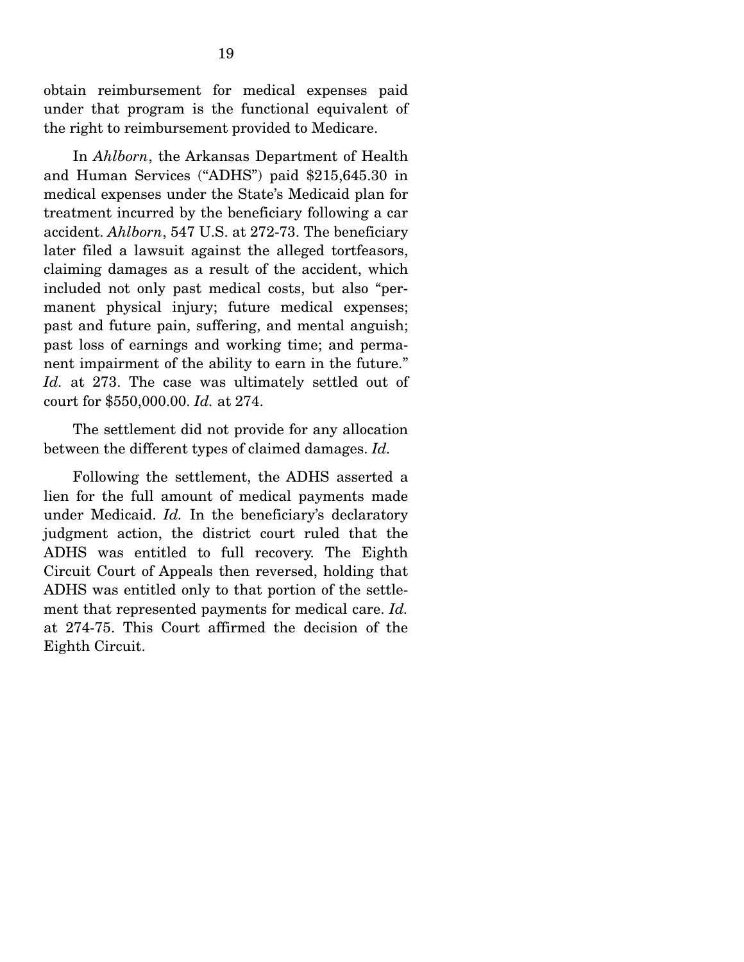obtain reimbursement for medical expenses paid under that program is the functional equivalent of the right to reimbursement provided to Medicare.

 In *Ahlborn*, the Arkansas Department of Health and Human Services ("ADHS") paid \$215,645.30 in medical expenses under the State's Medicaid plan for treatment incurred by the beneficiary following a car accident. *Ahlborn*, 547 U.S. at 272-73. The beneficiary later filed a lawsuit against the alleged tortfeasors, claiming damages as a result of the accident, which included not only past medical costs, but also "permanent physical injury; future medical expenses; past and future pain, suffering, and mental anguish; past loss of earnings and working time; and permanent impairment of the ability to earn in the future." *Id.* at 273. The case was ultimately settled out of court for \$550,000.00. *Id.* at 274.

 The settlement did not provide for any allocation between the different types of claimed damages. *Id.*

 Following the settlement, the ADHS asserted a lien for the full amount of medical payments made under Medicaid. *Id.* In the beneficiary's declaratory judgment action, the district court ruled that the ADHS was entitled to full recovery. The Eighth Circuit Court of Appeals then reversed, holding that ADHS was entitled only to that portion of the settlement that represented payments for medical care. *Id.* at 274-75. This Court affirmed the decision of the Eighth Circuit.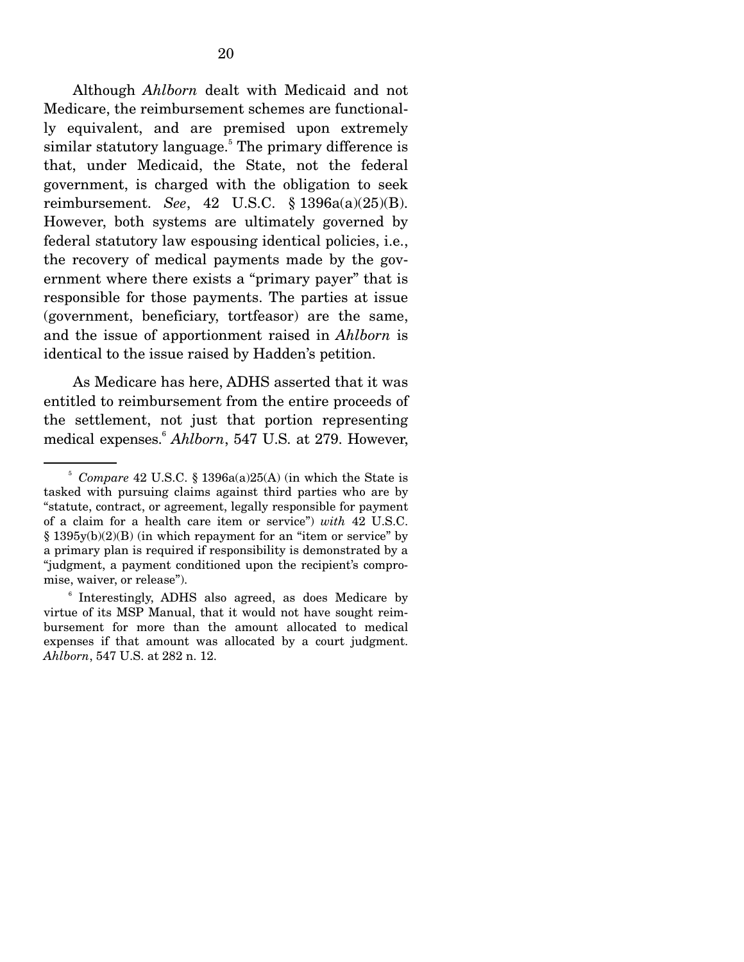Although *Ahlborn* dealt with Medicaid and not Medicare, the reimbursement schemes are functionally equivalent, and are premised upon extremely similar statutory language.<sup>5</sup> The primary difference is that, under Medicaid, the State, not the federal government, is charged with the obligation to seek reimbursement. *See*, 42 U.S.C. § 1396a(a)(25)(B). However, both systems are ultimately governed by federal statutory law espousing identical policies, i.e., the recovery of medical payments made by the government where there exists a "primary payer" that is responsible for those payments. The parties at issue (government, beneficiary, tortfeasor) are the same, and the issue of apportionment raised in *Ahlborn* is identical to the issue raised by Hadden's petition.

 As Medicare has here, ADHS asserted that it was entitled to reimbursement from the entire proceeds of the settlement, not just that portion representing medical expenses.6 *Ahlborn*, 547 U.S. at 279. However,

<sup>5</sup> *Compare* 42 U.S.C. § 1396a(a)25(A) (in which the State is tasked with pursuing claims against third parties who are by "statute, contract, or agreement, legally responsible for payment of a claim for a health care item or service") *with* 42 U.S.C. § 1395y(b)(2)(B) (in which repayment for an "item or service" by a primary plan is required if responsibility is demonstrated by a "judgment, a payment conditioned upon the recipient's compromise, waiver, or release").

<sup>6</sup> Interestingly, ADHS also agreed, as does Medicare by virtue of its MSP Manual, that it would not have sought reimbursement for more than the amount allocated to medical expenses if that amount was allocated by a court judgment. *Ahlborn*, 547 U.S. at 282 n. 12.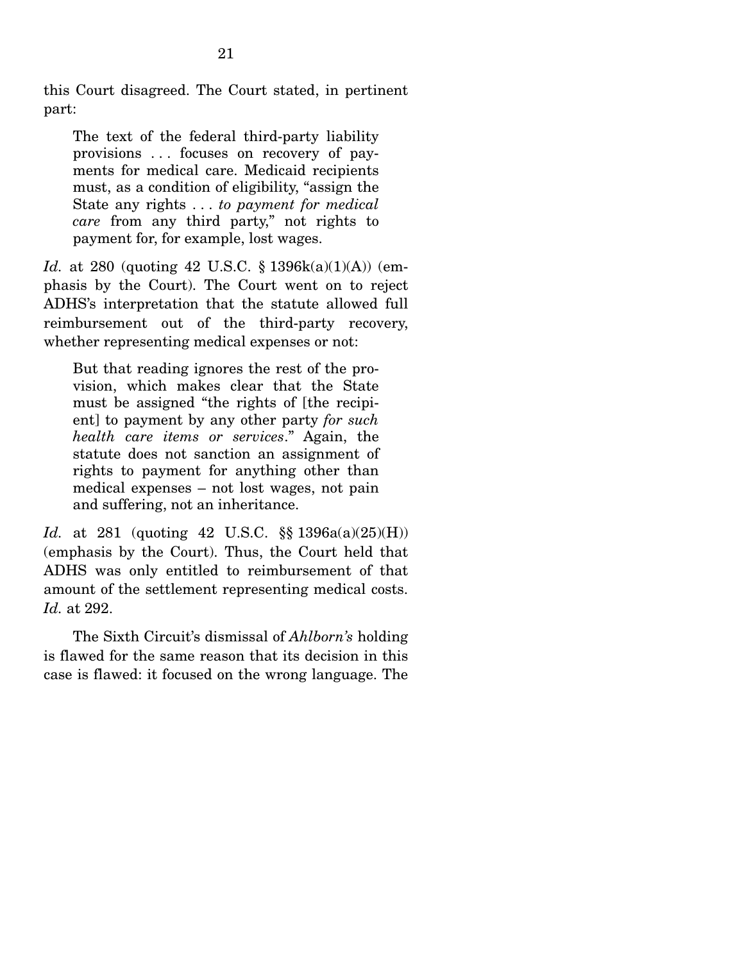this Court disagreed. The Court stated, in pertinent part:

The text of the federal third-party liability provisions . . . focuses on recovery of payments for medical care. Medicaid recipients must, as a condition of eligibility, "assign the State any rights . . . *to payment for medical care* from any third party," not rights to payment for, for example, lost wages.

*Id.* at 280 (quoting 42 U.S.C. § 1396k(a)(1)(A)) (emphasis by the Court). The Court went on to reject ADHS's interpretation that the statute allowed full reimbursement out of the third-party recovery, whether representing medical expenses or not:

But that reading ignores the rest of the provision, which makes clear that the State must be assigned "the rights of [the recipient] to payment by any other party *for such health care items or services*." Again, the statute does not sanction an assignment of rights to payment for anything other than medical expenses – not lost wages, not pain and suffering, not an inheritance.

*Id.* at 281 (quoting 42 U.S.C. §§ 1396a(a)(25)(H)) (emphasis by the Court). Thus, the Court held that ADHS was only entitled to reimbursement of that amount of the settlement representing medical costs. *Id.* at 292.

 The Sixth Circuit's dismissal of *Ahlborn's* holding is flawed for the same reason that its decision in this case is flawed: it focused on the wrong language. The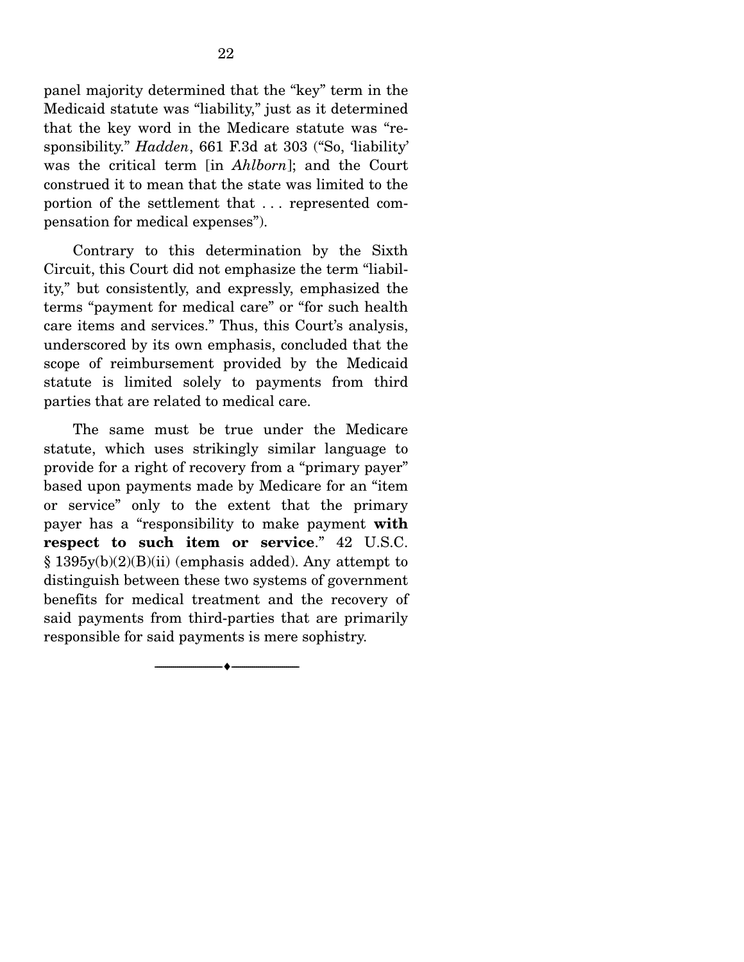panel majority determined that the "key" term in the Medicaid statute was "liability," just as it determined that the key word in the Medicare statute was "responsibility." *Hadden*, 661 F.3d at 303 ("So, 'liability' was the critical term [in *Ahlborn*]; and the Court construed it to mean that the state was limited to the portion of the settlement that . . . represented compensation for medical expenses").

 Contrary to this determination by the Sixth Circuit, this Court did not emphasize the term "liability," but consistently, and expressly, emphasized the terms "payment for medical care" or "for such health care items and services." Thus, this Court's analysis, underscored by its own emphasis, concluded that the scope of reimbursement provided by the Medicaid statute is limited solely to payments from third parties that are related to medical care.

 The same must be true under the Medicare statute, which uses strikingly similar language to provide for a right of recovery from a "primary payer" based upon payments made by Medicare for an "item or service" only to the extent that the primary payer has a "responsibility to make payment **with respect to such item or service**." 42 U.S.C. § 1395y(b)(2)(B)(ii) (emphasis added). Any attempt to distinguish between these two systems of government benefits for medical treatment and the recovery of said payments from third-parties that are primarily responsible for said payments is mere sophistry.

--------------------------------- ---------------------------------